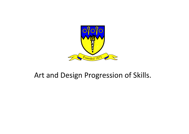

## Art and Design Progression of Skills.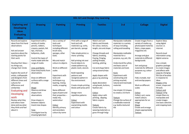| <b>KS1 Art and Design Key Learning</b>                                                                                                                                                                                                                                                                                                                                                                                                                                                                     |                                                                                                                                                                                                                                                                                                                                                                                                                                                                                                 |                                                                                                                                                                                                                                                                                                                                                                                                                                                |                                                                                                                                                                                                                                                                                                                                                                                                                                                                                      |                                                                                                                                                                                                                                                                                                                                                                                                                                                                                                                       |                                                                                                                                                                                                                                                                                                                                                                                                                                                                                              |                                                                                                                                                                                                                                                                                                                                                                                                                                                                                             |                                                                                                                                                                                                                                                                                                                                                                                                                                                                |  |  |  |
|------------------------------------------------------------------------------------------------------------------------------------------------------------------------------------------------------------------------------------------------------------------------------------------------------------------------------------------------------------------------------------------------------------------------------------------------------------------------------------------------------------|-------------------------------------------------------------------------------------------------------------------------------------------------------------------------------------------------------------------------------------------------------------------------------------------------------------------------------------------------------------------------------------------------------------------------------------------------------------------------------------------------|------------------------------------------------------------------------------------------------------------------------------------------------------------------------------------------------------------------------------------------------------------------------------------------------------------------------------------------------------------------------------------------------------------------------------------------------|--------------------------------------------------------------------------------------------------------------------------------------------------------------------------------------------------------------------------------------------------------------------------------------------------------------------------------------------------------------------------------------------------------------------------------------------------------------------------------------|-----------------------------------------------------------------------------------------------------------------------------------------------------------------------------------------------------------------------------------------------------------------------------------------------------------------------------------------------------------------------------------------------------------------------------------------------------------------------------------------------------------------------|----------------------------------------------------------------------------------------------------------------------------------------------------------------------------------------------------------------------------------------------------------------------------------------------------------------------------------------------------------------------------------------------------------------------------------------------------------------------------------------------|---------------------------------------------------------------------------------------------------------------------------------------------------------------------------------------------------------------------------------------------------------------------------------------------------------------------------------------------------------------------------------------------------------------------------------------------------------------------------------------------|----------------------------------------------------------------------------------------------------------------------------------------------------------------------------------------------------------------------------------------------------------------------------------------------------------------------------------------------------------------------------------------------------------------------------------------------------------------|--|--|--|
| <b>Exploring and</b><br><b>Developing</b><br><b>ideas</b><br><b>Evaluating</b><br>ideas                                                                                                                                                                                                                                                                                                                                                                                                                    | <b>Drawing</b>                                                                                                                                                                                                                                                                                                                                                                                                                                                                                  | <b>Painting</b>                                                                                                                                                                                                                                                                                                                                                                                                                                | <b>Printing</b>                                                                                                                                                                                                                                                                                                                                                                                                                                                                      | <b>Textiles</b>                                                                                                                                                                                                                                                                                                                                                                                                                                                                                                       | $3-d$                                                                                                                                                                                                                                                                                                                                                                                                                                                                                        | <b>Collage</b>                                                                                                                                                                                                                                                                                                                                                                                                                                                                              | <b>Digital</b>                                                                                                                                                                                                                                                                                                                                                                                                                                                 |  |  |  |
| Record and explore<br>ideas from first hand<br>observations<br>Ask and answer<br>questions about the<br>starting points for<br>their work<br>Develop their ideas -<br>try things out,<br>change their minds<br>Explore the work of<br>artists, craftspeople<br>and designers from<br>different times and<br>cultures for<br>differences and<br>similarities<br><b>Evaluating and</b><br>Developing<br>work<br>Review what they<br>and others have<br>done and say what<br>they think and feel<br>about it. | Experiment with a<br>variety of media;<br>pencils, rubbers,<br>crayons, pastels, felt<br>tips, charcoal,<br>ballpoints, chalk<br>Control the types of<br>marks made with the<br>range of media<br>Lines and Marks<br>Draw lines/marks from<br>observations<br>Draw on different<br>surfaces with a range<br>of media<br>Shape<br>Observe and draw<br>shapes from<br>observations<br>Draw shapes in<br>between objects<br>Invent new shapes<br>Tone<br>Investigate tone by<br>drawing light/dark | Use a variety of<br>tools and<br>techniques<br>including different<br>brush sizes,<br>sponges, other<br>tools.<br>Mix and match<br>colours to objects<br>Work on different<br>scales<br>Experiment with<br>tools and<br>techniques e.g.<br>layering, mixing<br>media, scrapping<br>Name different<br>types of paint and<br>their properties $-$<br>ready mix,<br>watercolour<br>Colour<br>Identify primary<br>and secondary<br>colours by name | Print with a range of<br>hard and soft<br>materials e.g. corks,<br>pen barrels, sponge<br>Take simple prints i.e.<br>mono-printing<br>Roll printing ink over<br>found objects to<br>create patterns e.g.<br>plastic mesh, stencils<br><b>Build repeating</b><br>patterns and<br>recognise pattern in<br>the environment<br>Create simple printing<br>blocks with press print<br>Design more<br>repetitive patterns<br>Colour<br>Experiment with<br>overprinting motifs<br>and colour | Match and sort<br>fabrics and threads<br>for colour, texture,<br>length, size and shape<br>Change threads and<br>fabrics, knotting,<br>fraying, fringing,<br>pulling threads,<br>twisting, plaiting<br>Cut and shape fabric<br>using scissors/snips<br>Apply shapes with<br>glue or by stitching<br>Apply decoration<br>using beads, buttons,<br>feathers etc<br>Colour<br>Apply colour with<br>printing, dipping,<br>fabric crayons<br>Texture<br>Create fabrics by<br>weaving materials i.e.<br>grass through twigs | Manipulate malleable<br>materials in a variety<br>of ways including<br>rolling and kneading<br>Manipulate malleable<br>materials for a<br>purpose, e.g. pot, tile<br>Understand the safety<br>and basic care of<br>materials and tools<br>Form<br>Experiment with<br>constructing and<br>joining recycled,<br>natural and manmade<br>materials<br>Use simple 2-D shapes<br>to create a 3-D form<br>Texture<br>Change the surface of<br>a malleable material<br>e.g. build a textured<br>tile | Create images from a<br>variety of media e.g.<br>photocopied material,<br>fabric, crepe paper,<br>magazines etc<br>Arrange and glue<br>materials to different<br>backgrounds<br>Sort and group<br>materials for different<br>purposes e.g. colour<br>texture<br>Fold, crumple, tear<br>and overlap papers<br>Work on different<br>scales<br>Colour<br>Collect. sort. name<br>match colours<br>appropriate for an<br>image<br>Shape<br>Create and arrange<br>shapes appropriately<br>Texture | Explore ideas<br>using digital<br>sources i.e.<br>internet<br>Record visual<br>information using<br>digital cameras<br>Use a simple<br>graphics package<br>to create images<br>and effects with<br>Lines by changing<br>the size of brushes<br>in response to<br>ideas<br>Shapes using<br>eraser, shape and<br>fill tools<br>Colours and<br>Texture using<br>simple filters to<br>manipulate and<br>create images<br>Use basic selection<br>and cropping tools |  |  |  |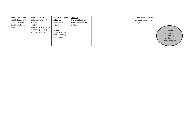| Identify what they<br>might change in their | lines, light/dark<br>patterns, light/dark | Mix primary shades<br>and tones | Texture<br>Make rubbings to |  | Create, select and use<br>textured paper for an |                  |
|---------------------------------------------|-------------------------------------------|---------------------------------|-----------------------------|--|-------------------------------------------------|------------------|
| current work or                             | shapes                                    | Mix secondary                   | collect textures and        |  | image                                           |                  |
| develop in future                           | Texture                                   | colours                         | patterns                    |  |                                                 |                  |
| work                                        | Investigate textures by                   |                                 |                             |  |                                                 |                  |
|                                             | describing, naming,                       | Texture                         |                             |  |                                                 | Advised          |
|                                             | rubbing, copying                          | Create textured                 |                             |  |                                                 | <b>CURRICULL</b> |
|                                             |                                           | paint by adding                 |                             |  |                                                 | <b>COVERAGE</b>  |
|                                             |                                           | sand, plaster                   |                             |  |                                                 | Maximum 3        |
|                                             |                                           |                                 |                             |  |                                                 | media per y ar   |
|                                             |                                           |                                 |                             |  |                                                 |                  |
|                                             |                                           |                                 |                             |  |                                                 |                  |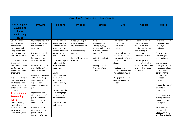|                                                                                                                                                                                                                                                                                                                                                                                                                                                                                                                                                          | Lower KS2 Art and Design Key Learning                                                                                                                                                                                                                                                                                                                                                                                                                                                                                                                                                |                                                                                                                                                                                                                                                                                                                                                                                                                                     |                                                                                                                                      |                                                                                                                                                                                                                              |                                                                                                                                                                                                                                                                                                              |                                                                                                                                                                                                                                                              |                                                                                                                                                                                                                                                                                                                                                                                                                                                                                                  |  |  |  |  |
|----------------------------------------------------------------------------------------------------------------------------------------------------------------------------------------------------------------------------------------------------------------------------------------------------------------------------------------------------------------------------------------------------------------------------------------------------------------------------------------------------------------------------------------------------------|--------------------------------------------------------------------------------------------------------------------------------------------------------------------------------------------------------------------------------------------------------------------------------------------------------------------------------------------------------------------------------------------------------------------------------------------------------------------------------------------------------------------------------------------------------------------------------------|-------------------------------------------------------------------------------------------------------------------------------------------------------------------------------------------------------------------------------------------------------------------------------------------------------------------------------------------------------------------------------------------------------------------------------------|--------------------------------------------------------------------------------------------------------------------------------------|------------------------------------------------------------------------------------------------------------------------------------------------------------------------------------------------------------------------------|--------------------------------------------------------------------------------------------------------------------------------------------------------------------------------------------------------------------------------------------------------------------------------------------------------------|--------------------------------------------------------------------------------------------------------------------------------------------------------------------------------------------------------------------------------------------------------------|--------------------------------------------------------------------------------------------------------------------------------------------------------------------------------------------------------------------------------------------------------------------------------------------------------------------------------------------------------------------------------------------------------------------------------------------------------------------------------------------------|--|--|--|--|
| <b>Exploring and</b><br><b>Developing</b><br><b>ideas</b><br><b>Evaluating</b>                                                                                                                                                                                                                                                                                                                                                                                                                                                                           | <b>Drawing</b>                                                                                                                                                                                                                                                                                                                                                                                                                                                                                                                                                                       | <b>Painting</b>                                                                                                                                                                                                                                                                                                                                                                                                                     | <b>Printing</b>                                                                                                                      | <b>Textiles</b>                                                                                                                                                                                                              | $3-d$                                                                                                                                                                                                                                                                                                        | <b>Collage</b>                                                                                                                                                                                                                                               | <b>Digital</b>                                                                                                                                                                                                                                                                                                                                                                                                                                                                                   |  |  |  |  |
| ideas<br>Select and record<br>from first hand<br>observation,<br>experience and<br>imagination, and<br>explore ideas for<br>different purposes.<br>Question and make<br>thoughtful<br>observations about<br>starting points and<br>select ideas to use in<br>their work.<br>Explore the roles and<br>purposes of artists,<br>craftspeople and<br>designers working in<br>different times and<br>cultures.<br><b>Evaluating and</b><br>Developing<br>work<br>Compare ideas,<br>methods and<br>approaches in their<br>own and others'<br>work and say what | Experiment with ways<br>in which surface detail<br>can be added to<br>drawings.<br>Use journals to collect<br>and record visual<br>information from<br>different sources.<br>Draw for a sustained<br>period of time at an<br>appropriate level.<br>Make marks and lines<br>with a wide range of<br>drawing implements<br>e.g. charcoal, pencil,<br>crayon, chalk pastels,<br>pens etc.<br>Experiment with<br>different grades of<br>pencil and other<br>implements to create<br>lines and marks.<br>Experiment with<br>different grades of<br>pencil and other<br>implements to draw | Experiment with<br>different effects<br>and textures inc.<br>blocking in colour,<br>washes, thickened<br>paint creating<br>textural effects<br>Work on a range of<br>scales e.g. thin<br>brush on small<br>picture etc.<br>Colour<br>Mix colours and<br>know which<br>primary colours<br>make secondary<br>colours<br>Use more specific<br>colour language -<br>eg. names for<br>different blues<br>Mix and use tints<br>and shades | Create printing blocks<br>using a relief or<br>impressed method<br>Create repeating<br>patterns<br>Print with two colour<br>overlays | Use a variety of<br>techniques, e.g.<br>printing, dyeing,<br>weaving and stitching<br>to create different<br>textural effects<br>Match the tool to the<br>material<br>Develop skills in<br>stitching, cutting and<br>joining | Plan, design and make<br>models from<br>observation or<br>imagination<br>Join clay adequately<br>and construct a simple<br>base for extending and<br>modelling other<br>shapes.<br>Create surface<br>patterns and textures<br>in a malleable material<br>Use papier mache to<br>create a simple 3D<br>object | Experiment with a<br>range of collage<br>techniques such as<br>tearing, overlapping<br>and layering to<br>create images and<br>represent textures<br>Use collage as a<br>means of collecting<br>ideas and information<br>and building a visual<br>vocabulary | Record and collect<br>visual information<br>using digital<br>equipment.<br>Present recorded<br>visual images<br>using software<br>Use a graphics<br>package to create<br>images and effects<br>with; Lines by<br>controlling the<br>brush tool with<br>increased<br>precision<br>Change the type of<br>brush to an<br>appropriate style<br>Create shapes by<br>making selections<br>to cut, duplicate<br>and repeat<br>Experiment with<br>colours and<br>textures by using<br>effects and simple |  |  |  |  |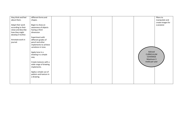| they think and feel | different forms and    |  |  |                   | filters to        |
|---------------------|------------------------|--|--|-------------------|-------------------|
| about them.         | shapes.                |  |  |                   | manipulate and    |
|                     |                        |  |  |                   | create images for |
| Adapt their work    | Begin to show an       |  |  |                   | a purpose         |
| according to their  | awareness of objects   |  |  |                   |                   |
| views and describe  | having a third         |  |  |                   |                   |
| how they might      | dimension              |  |  |                   |                   |
| develop it further. |                        |  |  |                   |                   |
|                     | Experiment with        |  |  |                   |                   |
| Annotate work in    | different grades of    |  |  |                   |                   |
| journal.            | pencil and other       |  |  |                   |                   |
|                     | implements to achieve  |  |  |                   |                   |
|                     | variations in tone.    |  |  |                   |                   |
|                     |                        |  |  |                   |                   |
|                     | Apply tone in a        |  |  | Advised           |                   |
|                     | drawing in a simple    |  |  | <b>CURRICULUM</b> |                   |
|                     | way.                   |  |  | COVERAGE          |                   |
|                     |                        |  |  | Maximum 3         |                   |
|                     | Create textures with a |  |  | media per year    |                   |
|                     | wide range of drawing  |  |  |                   |                   |
|                     | implements.            |  |  |                   |                   |
|                     |                        |  |  |                   |                   |
|                     | Apply a simple use of  |  |  |                   |                   |
|                     | pattern and texture in |  |  |                   |                   |
|                     | a drawing.             |  |  |                   |                   |
|                     |                        |  |  |                   |                   |
|                     |                        |  |  |                   |                   |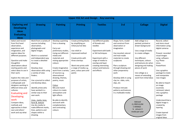|                                                                                                                                                                                                                                                                                                                                                                                                                                                                                                         | <b>Upper KS2 Art and Design Key Learning</b>                                                                                                                                                                                                                                                                                                                                                                                                                                               |                                                                                                                                                                                                                                                                                                                                                                                                                                                       |                                                                                                                                                                                                                                       |                                                                                                                                                                                                                                       |                                                                                                                                                                                                                                                                                                                                                                           |                                                                                                                                                                                                                                                                                                                                                             |                                                                                                                                                                                                                                                                                                                                                                                                                     |  |  |  |  |
|---------------------------------------------------------------------------------------------------------------------------------------------------------------------------------------------------------------------------------------------------------------------------------------------------------------------------------------------------------------------------------------------------------------------------------------------------------------------------------------------------------|--------------------------------------------------------------------------------------------------------------------------------------------------------------------------------------------------------------------------------------------------------------------------------------------------------------------------------------------------------------------------------------------------------------------------------------------------------------------------------------------|-------------------------------------------------------------------------------------------------------------------------------------------------------------------------------------------------------------------------------------------------------------------------------------------------------------------------------------------------------------------------------------------------------------------------------------------------------|---------------------------------------------------------------------------------------------------------------------------------------------------------------------------------------------------------------------------------------|---------------------------------------------------------------------------------------------------------------------------------------------------------------------------------------------------------------------------------------|---------------------------------------------------------------------------------------------------------------------------------------------------------------------------------------------------------------------------------------------------------------------------------------------------------------------------------------------------------------------------|-------------------------------------------------------------------------------------------------------------------------------------------------------------------------------------------------------------------------------------------------------------------------------------------------------------------------------------------------------------|---------------------------------------------------------------------------------------------------------------------------------------------------------------------------------------------------------------------------------------------------------------------------------------------------------------------------------------------------------------------------------------------------------------------|--|--|--|--|
| <b>Exploring and</b><br><b>Developing</b><br>ideas<br><b>Evaluating</b>                                                                                                                                                                                                                                                                                                                                                                                                                                 | <b>Drawing</b>                                                                                                                                                                                                                                                                                                                                                                                                                                                                             | <b>Painting</b>                                                                                                                                                                                                                                                                                                                                                                                                                                       | <b>Printing</b>                                                                                                                                                                                                                       | <b>Textiles</b>                                                                                                                                                                                                                       | $3-d$                                                                                                                                                                                                                                                                                                                                                                     | <b>Collage</b>                                                                                                                                                                                                                                                                                                                                              | <b>Digital</b>                                                                                                                                                                                                                                                                                                                                                                                                      |  |  |  |  |
| ideas                                                                                                                                                                                                                                                                                                                                                                                                                                                                                                   |                                                                                                                                                                                                                                                                                                                                                                                                                                                                                            |                                                                                                                                                                                                                                                                                                                                                                                                                                                       |                                                                                                                                                                                                                                       |                                                                                                                                                                                                                                       |                                                                                                                                                                                                                                                                                                                                                                           |                                                                                                                                                                                                                                                                                                                                                             |                                                                                                                                                                                                                                                                                                                                                                                                                     |  |  |  |  |
| Select and record<br>from first hand<br>observation,<br>experience and<br>imagination, and<br>explore ideas for<br>different purposes.<br>Question and make<br>thoughtful<br>observations about<br>starting points and<br>select ideas to use in<br>their work.<br>Explore the roles and<br>purposes of artists,<br>craftspeople and<br>designers working in<br>different times and<br>cultures.<br><b>Evaluating and</b><br>Developing<br>work<br>Compare ideas,<br>methods and<br>approaches in their | Work from a variety of<br>sources including<br>observation,<br>photographs and<br>digital images.<br>Work in a sustained<br>and independent way<br>to create a detailed<br>drawing.<br>Develop close<br>observation skills using<br>a variety of view<br>finders.<br>Use a journal to collect<br>and develop ideas.<br>Identify artists who<br>have worked in a<br>similar way to their<br>own work.<br>Lines, marks, tone,<br>form & texture<br>Use dry media to<br>make different marks, | Develop a painting<br>from a drawing<br>Carry out<br>preliminary studies,<br>trying out different<br>media and<br>materials and<br>mixing appropriate<br>colours<br>Create imaginative<br>work from a variety<br>of sources e.g.<br>observational<br>drawing, themes,<br>poetry, music<br>Colour<br>Mix and match<br>colours to create<br>atmosphere and<br>light effects<br>Be able to identify<br>and work with<br>complementary<br>and contrasting | Create printing blocks<br>by simplifying an<br>initial journal idea<br>Use relief or<br>impressed method<br>Create prints with<br>three overlays<br>Work into prints with<br>a range of media e.g.<br>pens, colour pens and<br>paints | Use different grades<br>of threads and<br>needles<br><b>Experiment with batik</b><br>or felt techniques<br>Experiment with a<br>range of media to<br>overlap and layer<br>creating interesting<br>colours and textures<br>and effects | Shape, form, model<br>and construct from<br>observation or<br>imagination<br>Use recycled, natural<br>and man-made<br>materials to create<br>sculptures<br>Plan a sculpture<br>through drawing and<br>other preparatory<br>work<br>Develop skills in using<br>clay inc. slabs, coils,<br>slips, etc<br>Produce intricate<br>patterns and textures<br>in a malleable media | Add collage to a<br>painted, printed or<br>drawn background<br>Use a range of media<br>to create collages<br>Use different<br>techniques, colours<br>and textures etc when<br>designing and making<br>pieces of work<br>Use collage as a<br>means of extending<br>work from initial ideas<br>Advised<br><b>CL RRICULUM</b><br><b>CVERAGE</b><br>$N$ ximum 3 | Record, collect<br>and store visual<br>information using<br>digital cameras<br>Present recorded<br>visual images<br>using software<br>e.g. Photo<br>story,<br>PowerPoint<br>Use a graphics<br>package to create<br>and manipulate<br>new images<br>Be able to Import<br>an image<br>(scanned,<br>retrieved, taken)<br>into a graphics<br>package<br>Understand that a<br>digital image is<br>created by<br>layering |  |  |  |  |
| own and others'<br>work and say what                                                                                                                                                                                                                                                                                                                                                                                                                                                                    | lines, patterns and<br>shapes within a<br>drawing.                                                                                                                                                                                                                                                                                                                                                                                                                                         | colours                                                                                                                                                                                                                                                                                                                                                                                                                                               |                                                                                                                                                                                                                                       |                                                                                                                                                                                                                                       |                                                                                                                                                                                                                                                                                                                                                                           | media per year                                                                                                                                                                                                                                                                                                                                              | Create layered<br>images from<br>original ideas                                                                                                                                                                                                                                                                                                                                                                     |  |  |  |  |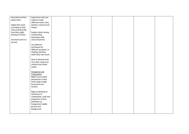| they think and feel | Experiment with wet     |  |  |  |
|---------------------|-------------------------|--|--|--|
| about them.         | media to make           |  |  |  |
|                     | different marks, lines, |  |  |  |
| Adapt their work    | patterns, textures and  |  |  |  |
| according to their  | shapes.                 |  |  |  |
| views and describe  |                         |  |  |  |
| how they might      | Explore colour mixing   |  |  |  |
| develop it further. | and blending            |  |  |  |
|                     | techniques with         |  |  |  |
| Annotate work in a  | coloured pencils.       |  |  |  |
| journal.            |                         |  |  |  |
|                     | Use different           |  |  |  |
|                     | techniques for          |  |  |  |
|                     |                         |  |  |  |
|                     | different purposes i.e. |  |  |  |
|                     | shading, hatching       |  |  |  |
|                     | within their own work.  |  |  |  |
|                     |                         |  |  |  |
|                     | Start to develop their  |  |  |  |
|                     | own style using tonal   |  |  |  |
|                     | contrast and mixed      |  |  |  |
|                     | media.                  |  |  |  |
|                     |                         |  |  |  |
|                     | Perspective and         |  |  |  |
|                     | Composition             |  |  |  |
|                     | Begin to use simple     |  |  |  |
|                     | perspective in their    |  |  |  |
|                     | work using a single     |  |  |  |
|                     | focal point and         |  |  |  |
|                     | horizon.                |  |  |  |
|                     |                         |  |  |  |
|                     | Begin to develop an     |  |  |  |
|                     | awareness of            |  |  |  |
|                     | composition, scale and  |  |  |  |
|                     | proportion in their     |  |  |  |
|                     | paintings e.g.          |  |  |  |
|                     | foreground, middle      |  |  |  |
|                     | ground and              |  |  |  |
|                     |                         |  |  |  |
|                     | background.             |  |  |  |
|                     |                         |  |  |  |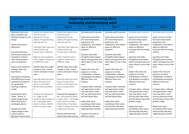|                                               | <b>Exploring and Developing ideas</b>                 |                                                     |                                                      |                                                      |                                                   |                                                   |  |  |  |
|-----------------------------------------------|-------------------------------------------------------|-----------------------------------------------------|------------------------------------------------------|------------------------------------------------------|---------------------------------------------------|---------------------------------------------------|--|--|--|
|                                               |                                                       |                                                     | <b>Evaluating and Developing work</b>                |                                                      |                                                   |                                                   |  |  |  |
| <b>EYFS</b>                                   | Year 1                                                | Year <sub>2</sub>                                   | Year <sub>3</sub>                                    | Year <sub>4</sub>                                    | Year <sub>5</sub>                                 | Year <sub>6</sub>                                 |  |  |  |
| Represent their own<br>ideas, thoughts and    | Record and explore ideas<br>from first hand           | Record and explore ideas<br>from first hand         | Annotate work in journal.                            | Annotate work in journal.                            | Annotate work in journal.                         | Annotate work in journal.                         |  |  |  |
| feelings through art and                      | observation of real<br>objects through drawing,       | observation of real<br>objects through drawing,     | Select and record from<br>first hand observation,    | Select and record from<br>first hand observation,    | Select and record from<br>first hand observation, | Select and record from<br>first hand observation, |  |  |  |
| design.                                       | painting and 3-d.                                     | painting and 3-d.                                   | experience and                                       | experience and                                       | experience and                                    | experience and                                    |  |  |  |
| <b>Express themselves</b>                     |                                                       |                                                     | imagination, and explore                             | imagination, and explore                             | imagination, and explore                          | imagination, and explore                          |  |  |  |
| effectively.                                  | Talk about their ideas and<br>makes choices eg.       | Talk about their ideas and<br>makes choices eg      | ideas for different<br>purposes.                     | ideas for different<br>purposes.                     | ideas for different<br>purposes with increasing   | ideas for different<br>purposes with increasing   |  |  |  |
| Use what they have                            | Chosen tools, materials.                              | Chosen tools, materials.                            |                                                      |                                                      | control.                                          | control.                                          |  |  |  |
| learnt about media and                        |                                                       |                                                     | Question and make                                    | Question and make                                    |                                                   |                                                   |  |  |  |
| materials in original<br>ways thinking about  | Begin to work creatively<br>with a range of media and | Work creatively with a<br>range of media and on     | thoughtful observations<br>about starting points and | thoughtful observations<br>about starting points and | Question and make<br>thoughtful observations      | Question and make<br>thoughtful observations      |  |  |  |
| uses and purposes.                            | on different scales.                                  | different scales.                                   | select ideas to use in their                         | select ideas to use in their                         | about starting points and                         | about starting points and                         |  |  |  |
|                                               |                                                       |                                                     | work.                                                | work.                                                | select ideas to use in their                      | select ideas to use in their                      |  |  |  |
| Express and respond to<br>feelings, ideas and | Identify what they might<br>change in their current   | Identify what they might<br>change in their current | Explore the roles and                                | Explore the roles and                                | work.                                             | work.                                             |  |  |  |
| experiences.                                  | work or develop in future                             | work or develop in future                           | purposes of artists,                                 | purposes of artists,                                 | Explore the roles and                             | Explore the roles and                             |  |  |  |
|                                               | work                                                  | work                                                | craftspeople, architects                             | craftspeople, architects,                            | purposes of artists,                              | purposes of artists,                              |  |  |  |
| Know about similarities                       |                                                       |                                                     | and designers working in                             | and designers working in                             | craftspeople, architects                          | craftspeople, architects                          |  |  |  |
| and differences among                         | Describe what they think                              | Describe what they think                            | different times and                                  | different times and                                  | and designers working in                          | and designers working in                          |  |  |  |
| materials and types of<br>art eg painting,    | about the work of an<br>artist or craft maker.        | about the work of an<br>artist or craft maker and   | cultures.                                            | cultures.                                            | different times and<br>cultures.                  | different times and<br>cultures.                  |  |  |  |
| drawing, sculpture,                           | Whydo they like/dislike                               | how it can give them                                | Compare ideas, methods                               | Compare ideas, methods                               |                                                   |                                                   |  |  |  |
| model.                                        | it.                                                   | ideas.                                              | and approaches in their                              | and approaches in their                              | Compare ideas, methods                            | Compare ideas, methods                            |  |  |  |
|                                               |                                                       |                                                     | own and others' work                                 | own and others' work                                 | and approaches in their                           | and approaches in their                           |  |  |  |
| Understands 'who',                            | Develop the language of                               | Develop the language of                             | and say what they think                              | and say what they think                              | own and others' work                              | own and others' work                              |  |  |  |
| 'what', 'where' in                            | art - begin to ask                                    | art - ask questions about                           | and feel about them.                                 | and feel about them.                                 | and say what they think                           | and say what they think                           |  |  |  |
| simple questions eg.                          | questions about a piece of                            | a piece of art - have ideas                         |                                                      |                                                      | and feel about them with                          | and feel about them with                          |  |  |  |
| When looking at a                             | art - have ideas about                                | about what it is about,                             | Adapt their work                                     | Adapt their work                                     | greater insight.                                  | greater insight.                                  |  |  |  |
| painting/sculpture.                           | what it is about, identify                            | identify how it has been                            | according to their views                             | according to their views                             |                                                   |                                                   |  |  |  |
|                                               | how it has been made.                                 | made. Compare and state                             | and describe how they                                | and describe how they                                | Adapt their work                                  | Adapt their work                                  |  |  |  |
| Identify what they                            |                                                       | preferences and why.                                | might develop it further.                            | might develop it further.                            | according to their views                          | according to their views                          |  |  |  |
| might change in their                         |                                                       |                                                     | Compare the work of                                  |                                                      | and describe how they                             | and describe how they                             |  |  |  |
| current work or<br>develop in future work.    |                                                       | Review what they and<br>others have done and say    | different artists.                                   |                                                      | might develop it further.                         | might develop it further.                         |  |  |  |
|                                               |                                                       |                                                     |                                                      |                                                      |                                                   |                                                   |  |  |  |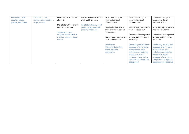| Vocabulary: artist,<br>sculptor, colour, | Vocabulary; artist,<br>sculptor, colour, pattern, | what they think and feel<br>about it.                                     | Make links with an artist's<br>work and their own.                              | Experiment using the<br>ideas and styles of                              | Experiment using the<br>ideas and styles of                                                                                                                                                       | Experiment using the<br>ideas and styles of                                                                                                                                                                    |
|------------------------------------------|---------------------------------------------------|---------------------------------------------------------------------------|---------------------------------------------------------------------------------|--------------------------------------------------------------------------|---------------------------------------------------------------------------------------------------------------------------------------------------------------------------------------------------|----------------------------------------------------------------------------------------------------------------------------------------------------------------------------------------------------------------|
| pattern, like, dislike                   | shape, texture                                    |                                                                           |                                                                                 | different artists.                                                       | different artists.                                                                                                                                                                                | different artists.                                                                                                                                                                                             |
|                                          |                                                   | Make links with an artist's<br>work and their own.<br>Vocabulary: artist, | Vocabulary: history of art,<br>periods of art, methods,<br>portrait, landscape, | Develop further what an<br>artist is trying to express<br>in their work. | Make links with an artist's<br>work and their own.                                                                                                                                                | Make links with an artist's<br>work and their own.                                                                                                                                                             |
|                                          |                                                   | sculptor, textile artist, 3-<br>d, colour, pattern, shape,<br>texture     |                                                                                 | Make links with an artist's<br>work and their own.                       | Understand the impact of<br>art on a nation's culture<br>or identity.                                                                                                                             | Understand the impact of<br>art on a nation's culture<br>or identity.                                                                                                                                          |
|                                          |                                                   |                                                                           |                                                                                 | Vocabulary:<br>history/periods of art,<br>mood, emotion,<br>express/ion, | Vocabulary: develop that<br>language of art in terms<br>of techniques, how<br>techniques or materials<br>enhance an artist's<br>message, interpret/ion,<br>composition, foreground,<br>background | Vocabulary: develop that<br>language of art in terms<br>of techniques, how<br>techniques or materials<br>enhance an artist's<br>message, interpret/ion,<br>composition, foreground,<br>background, perspective |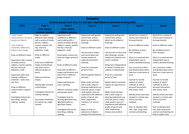|                             | <b>Drawing</b><br>All year groups from Year 1-6 will use a sketchbook to promote drawing skills |                            |                           |                             |                            |                            |  |  |  |  |
|-----------------------------|-------------------------------------------------------------------------------------------------|----------------------------|---------------------------|-----------------------------|----------------------------|----------------------------|--|--|--|--|
|                             |                                                                                                 |                            |                           |                             |                            |                            |  |  |  |  |
| <b>EYFS</b>                 | Year 1                                                                                          | Year <sub>2</sub>          | Year <sub>3</sub>         | Year <sub>4</sub>           | Year <sub>5</sub>          | Year <sub>6</sub>          |  |  |  |  |
|                             | Line, shape,                                                                                    | Line, shape,               |                           |                             |                            |                            |  |  |  |  |
|                             | pattern, texture                                                                                | pattern, texture           |                           |                             |                            |                            |  |  |  |  |
| Create simple               | Begin to explore                                                                                | Experiment with            | Experiment with greater   | Experiment with greater     | Work from a variety of     | Work from a variety of     |  |  |  |  |
| representations of events,  | different mark-making                                                                           | confidence in different    | control how surface       | control how surface         | sources and continue to    | sources and continue to    |  |  |  |  |
| people and objects.         | with a variety of media;                                                                        | mark-making with a         | detail can be added to    | detail can be added to      | be experimental.           | be experimental.           |  |  |  |  |
|                             | pencils, rubbers,                                                                               | variety of media; pencils, | drawings.                 | drawings.                   |                            |                            |  |  |  |  |
| Look closely at             | crayons, pastels, felt                                                                          | rubbers, crayons, pastels, |                           |                             | Draw on different scales.  | Draw on different scales.  |  |  |  |  |
| similarities, differences,  | tips, charcoal,                                                                                 | felt tips, charcoal,       | Draw on different scales. | Draw on different scales.   |                            |                            |  |  |  |  |
| patterns and change.        | ballpoints, chalk.                                                                              | ballpoints, chalk.         |                           |                             | Be confident to learn      | Be confident to learn      |  |  |  |  |
|                             |                                                                                                 |                            | Use journals to collect   | Use journals to refine and  | from mistakes.             | from mistakes.             |  |  |  |  |
| Draw on different scales.   | Draw on different                                                                               | Show better control and    | and record ideas and      | alter drawings. Include     |                            |                            |  |  |  |  |
|                             | scales.                                                                                         | draw for longer period of  | include analysis of       | analysis of materials and   | Work in a sustained and    | Work in a sustained and    |  |  |  |  |
| Experiment with a variety   |                                                                                                 | time.                      | materials and artists'    | artists' methods.           | independent way to         | independent way to         |  |  |  |  |
| of media; pencils,          | Draw lines of different                                                                         |                            | methods.                  |                             | create a detailed drawing. | create a detailed drawing. |  |  |  |  |
| rubbers, crayons, pastels,  | shapes and thickness                                                                            | Draw on different scales.  |                           | Bring more independence     |                            |                            |  |  |  |  |
| felt tips, charcoal,        | and select from 2                                                                               |                            | Draw for a sustained      | to choice of media and      | Use a journal to collect   | Use a journal to collect   |  |  |  |  |
| ballpoints, chalk           | different grades of                                                                             | Draw lines of different    | period of time.           | subjects in sketchbooks.    | and develop ideas which    | and develop ideas which    |  |  |  |  |
|                             | pencil.                                                                                         | shapes and thickness and   |                           |                             | feed into a main piece of  | feed into a main piece of  |  |  |  |  |
| <b>Experiment with mark</b> |                                                                                                 | select from 3 different    | Observe greater detail in | Draw for a sustained        | work.                      | work.                      |  |  |  |  |
| making in different         | Observe and draw                                                                                | grades of pencil.          | portraits.                | period of time.             |                            |                            |  |  |  |  |
| materials - sand, mud,      | shapes.                                                                                         |                            |                           |                             | Journals to include        | Journals to include        |  |  |  |  |
| soil, flour                 |                                                                                                 | Explore hatching and       | Make marks and lines      | Master detail in portraits, | analysis of artists'       | analysis of artists'       |  |  |  |  |
|                             | Identify light and dark                                                                         | cross-hatching.            | with a wide range of      | capture an expression or    | methods as well as         | methods as well as         |  |  |  |  |
| Draw on different           | marks/shapes.                                                                                   |                            | drawing implements e.g.   | mood.                       | personal interactions      | personal interactions      |  |  |  |  |
| surfaces with a range of    |                                                                                                 | Observe and draw shapes    | charcoal, pencil, crayon, |                             | with artists' work.        | with artists' work.        |  |  |  |  |
| media                       | Investigate textures by                                                                         | with greater detail.       | chalk pastels, pens etc.  | Make marks and lines        |                            |                            |  |  |  |  |
|                             | making rubbings.                                                                                |                            | Experiment with different | with a wide range of        | Identify artists who have  | Identify artists who have  |  |  |  |  |
| Investigate textures by     |                                                                                                 | Investigate tone by        | grades of pencil and      | drawing implements e.g.     | worked in a similar way    | worked in a similar way    |  |  |  |  |
| describing, naming,         | Use simple vocabulary                                                                           | drawing light/dark lines,  | other implements.         | charcoal, pencil, crayon,   | and try out their          | and try out their          |  |  |  |  |
| rubbing, copying            | for texture eg. rough,                                                                          | light/dark patterns,       | Combine 2 or more in      | chalk pastels, pens etc.    | methods.                   | methods.                   |  |  |  |  |
|                             | smooth.                                                                                         | light/dark shapes          | work.                     | Experiment with different   |                            |                            |  |  |  |  |
|                             |                                                                                                 |                            |                           | grades of pencil and        | Start to develop their     | Start to develop their     |  |  |  |  |
|                             |                                                                                                 | Investigate textures by    | Begin to show an          | other implements.           | own style using tonal      | own style using tonal      |  |  |  |  |
|                             |                                                                                                 | describing, rubbing,       | awareness of objects      | Choose and combine          | contrast and hatching.     | contrast and hatching. Be  |  |  |  |  |
|                             |                                                                                                 | copying.                   | having a third dimension. |                             |                            | able to explain their      |  |  |  |  |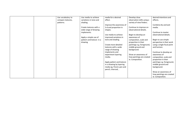| Use vocabulary to | Use media to achieve     | media for a desired       | Develop close              | desired intentions and     |
|-------------------|--------------------------|---------------------------|----------------------------|----------------------------|
| compare textures, | variations in tone and   | effect.                   | observation skills using a | effects.                   |
| patterns.         | shading.                 |                           | variety of view finders.   |                            |
|                   |                          |                           |                            |                            |
|                   |                          | Improve the awareness of  |                            | Combine dry and wet        |
|                   | Create textures with a   | 3-d and proportion in     | Continue to improve on     | media.                     |
|                   | wide range of drawing    | shapes.                   | observational details.     |                            |
|                   | implements.              |                           |                            | Continue to master         |
|                   |                          | Use media to achieve      | Begin to develop an        | observational details.     |
|                   | Apply a simple use of    | improved variations in    | awareness of               |                            |
|                   | pattern and texture in a | tone and shading.         | composition, scale and     | Begin to use simple        |
|                   | drawing                  |                           | proportion in their        | perspective in their work  |
|                   |                          | Create more detailed      | paintings e.g. foreground, | using a single focal point |
|                   |                          | textures with a wide      | middle ground and          | and horizon.               |
|                   |                          | range of drawing          | background.                |                            |
|                   |                          |                           |                            |                            |
|                   |                          | implements and            |                            | Continue to develop an     |
|                   |                          | experiment layering       | Show an awareness of       | awareness of               |
|                   |                          | media.                    | how paintings are created  | composition, scale and     |
|                   |                          |                           | ie. Composition.           | proportion in their        |
|                   |                          | Apply pattern and texture |                            | paintings e.g. foreground, |
|                   |                          | in a drawing by layering  |                            | middle ground and          |
|                   |                          | media eg. Pencil, pen and |                            | background.                |
|                   |                          | pencil, charcoal, .       |                            |                            |
|                   |                          |                           |                            | Show an awareness of       |
|                   |                          |                           |                            | how paintings are created  |
|                   |                          |                           |                            | ie. Composition.           |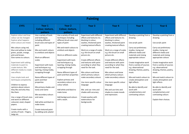|                                                                                                                                                                                                                                                                                                           | <b>Painting</b>                                                                                                                                                                                                                          |                                                                                                                                                                                                                                                                                    |                                                                                                                                                                                                                                                                                                                       |                                                                                                                                                                                                                                                                                                                       |                                                                                                                                                                                                                                                               |                                                                                                                                                                                                                                                               |  |  |  |
|-----------------------------------------------------------------------------------------------------------------------------------------------------------------------------------------------------------------------------------------------------------------------------------------------------------|------------------------------------------------------------------------------------------------------------------------------------------------------------------------------------------------------------------------------------------|------------------------------------------------------------------------------------------------------------------------------------------------------------------------------------------------------------------------------------------------------------------------------------|-----------------------------------------------------------------------------------------------------------------------------------------------------------------------------------------------------------------------------------------------------------------------------------------------------------------------|-----------------------------------------------------------------------------------------------------------------------------------------------------------------------------------------------------------------------------------------------------------------------------------------------------------------------|---------------------------------------------------------------------------------------------------------------------------------------------------------------------------------------------------------------------------------------------------------------|---------------------------------------------------------------------------------------------------------------------------------------------------------------------------------------------------------------------------------------------------------------|--|--|--|
| <b>EYFS</b>                                                                                                                                                                                                                                                                                               | Year 1                                                                                                                                                                                                                                   | Year <sub>2</sub>                                                                                                                                                                                                                                                                  | Year <sub>3</sub>                                                                                                                                                                                                                                                                                                     | Year <sub>4</sub>                                                                                                                                                                                                                                                                                                     | Year <sub>5</sub>                                                                                                                                                                                                                                             | Year <sub>6</sub>                                                                                                                                                                                                                                             |  |  |  |
|                                                                                                                                                                                                                                                                                                           | Colour, texture,                                                                                                                                                                                                                         | Colour, texture,                                                                                                                                                                                                                                                                   |                                                                                                                                                                                                                                                                                                                       |                                                                                                                                                                                                                                                                                                                       |                                                                                                                                                                                                                                                               |                                                                                                                                                                                                                                                               |  |  |  |
|                                                                                                                                                                                                                                                                                                           | pattern                                                                                                                                                                                                                                  | pattern                                                                                                                                                                                                                                                                            |                                                                                                                                                                                                                                                                                                                       |                                                                                                                                                                                                                                                                                                                       |                                                                                                                                                                                                                                                               |                                                                                                                                                                                                                                                               |  |  |  |
| Explore colour and how<br>colour can be changed.<br>Explore what happens<br>when colours are mixed.<br>Mix colours using red,<br>blue and yellow to make<br>green, purple, orange,<br>pink and brown.<br>Give names to colours.<br>Experiment with adding<br>materials to paint to<br>create texture. Mix | Use a variety of tools<br>and techniques<br>including different<br>brush sizes and types of<br>paint<br>Mix and match colours<br>to artefacts and objects<br>Work on different<br>scales<br>Experiment with tools<br>and techniques e.g. | Use a variety of tools and<br>techniques including<br>different brush sizes and<br>types of paint<br>Mix and match colours to<br>artefacts and objects<br>Work on different scales<br>Experiment with tools<br>and techniques e.g.<br>layering, mixing media,<br>scrapping through | Experiment with different<br>effects and textures inc.<br>blocking in colour,<br>washes, thickened paint<br>creating textural effects<br>Work on a range of scales<br>e.g. thin brush on small<br>picture etc.<br>Create different effects<br>and textures with paint<br>according to what they<br>need for the task. | Experiment with different<br>effects and textures inc.<br>blocking in colour,<br>washes, thickened paint<br>creating textural effects<br>Work on a range of scales<br>e.g. thin brush on small<br>picture etc.<br>Create different effects<br>and textures with paint<br>according to what they<br>need for the task. | Develop a painting from a<br>drawing<br>Use acrylic paint<br>Carry out preliminary<br>studies, trying out<br>different media and<br>materials and mixing<br>appropriate colours<br>Create imaginative work<br>from a variety of sources<br>e.g. observational | Develop a painting from a<br>drawing<br>Use acrylic paint<br>Carry out preliminary<br>studies, trying out<br>different media and<br>materials and mixing<br>appropriate colours<br>Create imaginative work<br>from a variety of sources<br>e.g. observational |  |  |  |
| different media to create<br>new effects.<br>Uses simple tools and<br>techniques competently.<br>Children to express<br>opinions about colours<br>they like and why they<br>like them.<br>Use a range of brush sizes<br>and work on different                                                             | layering, mixing media,<br>scrapping through<br>Name different types of<br>paint and their<br>properties<br>Mix primary shades and<br>tones and name<br>Mix secondary colours<br>and name                                                | Name different types of<br>paint and their properties<br>Explore primary and<br>secondary colours on a<br>colour wheel.<br>Add white and black to<br>make tones<br>Add background colours<br>with a wash.                                                                          | Mix colours and know<br>which primary colours<br>make secondary colours<br>Use more specific colour<br>language<br>Mix and use tints and<br>shades with accuracy.<br>Create washes with<br>watercolours for                                                                                                           | Mix colours and know<br>which primary colours<br>make secondary colours<br>Use more specific colour<br>language<br>Mix and use tints and<br>shades to create moods<br>and expression.                                                                                                                                 | drawing, themes, poetry,<br>music<br>Mix and match colours to<br>create atmosphere and<br>light effects<br>Be able to identify and<br>work with<br>complementary and<br>contrasting colours                                                                   | drawing, themes, poetry,<br>music<br>Mix and match colours to<br>create atmosphere and<br>light effects<br>Be able to identify and<br>work with<br>complementary and<br>contrasting colours<br>Explain their choices.                                         |  |  |  |
| coloured, sized, shaped<br>papers.<br>Create marks with a<br>variety of tools - fingers,<br>twigs etc                                                                                                                                                                                                     | Add white and black to<br>make tones<br>Create textured paint<br>by adding sand, plaster                                                                                                                                                 |                                                                                                                                                                                                                                                                                    | backgrounds.                                                                                                                                                                                                                                                                                                          |                                                                                                                                                                                                                                                                                                                       |                                                                                                                                                                                                                                                               |                                                                                                                                                                                                                                                               |  |  |  |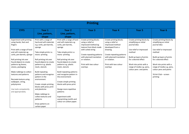| <b>Printing</b>                                                                                                                                                                                                                                                                                                                                                                                                       |                                                                                                                                                                                                                                                                                                                                                                                                                                                                            |                                                                                                                                                                                                                                                                                                                                                                                                                                                                                          |                                                                                                                                                                                                                                   |                                                                                                                                                                                                               |                                                                                                                                                                                                                                                 |                                                                                                                                                                                                                                                                                     |  |  |  |
|-----------------------------------------------------------------------------------------------------------------------------------------------------------------------------------------------------------------------------------------------------------------------------------------------------------------------------------------------------------------------------------------------------------------------|----------------------------------------------------------------------------------------------------------------------------------------------------------------------------------------------------------------------------------------------------------------------------------------------------------------------------------------------------------------------------------------------------------------------------------------------------------------------------|------------------------------------------------------------------------------------------------------------------------------------------------------------------------------------------------------------------------------------------------------------------------------------------------------------------------------------------------------------------------------------------------------------------------------------------------------------------------------------------|-----------------------------------------------------------------------------------------------------------------------------------------------------------------------------------------------------------------------------------|---------------------------------------------------------------------------------------------------------------------------------------------------------------------------------------------------------------|-------------------------------------------------------------------------------------------------------------------------------------------------------------------------------------------------------------------------------------------------|-------------------------------------------------------------------------------------------------------------------------------------------------------------------------------------------------------------------------------------------------------------------------------------|--|--|--|
| <b>EYFS</b>                                                                                                                                                                                                                                                                                                                                                                                                           | Year 1<br>Line, pattern,<br>shape                                                                                                                                                                                                                                                                                                                                                                                                                                          | Year <sub>2</sub><br>Line, pattern,<br>shape                                                                                                                                                                                                                                                                                                                                                                                                                                             | Year <sub>3</sub>                                                                                                                                                                                                                 | Year <sub>4</sub>                                                                                                                                                                                             | Year <sub>5</sub>                                                                                                                                                                                                                               | Year <sub>6</sub>                                                                                                                                                                                                                                                                   |  |  |  |
| Experiment with printing<br>using hands, feet and<br>fingers<br>Print with a range of hard<br>and soft materials eg<br>corks, pen barrels, sponge<br>Roll printing ink over<br>found objects to create<br>patterns eg leaves,<br>stones, packaging<br>Make rubbings to collect<br>textures and patterns<br>Recreate texture using<br>wallpaper, string,<br>polystyrene<br>Use tools competently<br>and appropriately. | Print with a range of<br>hard and soft materials<br>e.g. corks, pen barrels,<br>sponge<br>Take simple prints i.e.<br>mono-printing<br>Roll printing ink over<br>found objects to create<br>patterns e.g. plastic<br>mesh, stencils<br><b>Build repeating</b><br>patterns and recognise<br>pattern in the<br>environment<br>Create simple printing<br>blocks with press print<br>and plasticine<br>Make rubbings to<br>collect textures and<br>patterns<br>Draw patterns on | Print with a range of hard<br>and soft materials e.g.<br>corks, pen barrels,<br>sponge<br>Take simple prints i.e.<br>mono-printing<br>Roll printing ink over<br>found objects to create<br>patterns e.g. plastic<br>mesh, stencils<br><b>Build repeating patterns</b><br>and recognise pattern in<br>the environment<br>Create simple printing<br>blocks with press print<br>Design more repetitive<br>patterns<br>Experiment with<br>overprinting motifs and<br>colour on carbon paper. | Create printing blocks<br>using a relief or<br>impressed method eg<br>texture from block made<br>with coiled string<br>Create repeating patterns<br>with planned translation<br>or rotation.<br>Print with two colour<br>overlays | Create printing blocks<br>using a relief or<br>impressed method<br>developed from a<br>drawing.<br>Create repeating patterns<br>with planned translation<br>or rotation.<br>Print with two colour<br>overlays | Create printing blocks by<br>simplifying an initial<br>journal idea<br>Use relief or impressed<br>method<br>Build up layers of prints<br>for a desired effect<br>Work into prints with a<br>range of media e.g. pens,<br>colour pens and paints | Create printing blocks by<br>simplifying an initial<br>journal idea<br>Use relief or impressed<br>method<br>Build up layers of prints<br>for a desired effect<br>Work into prints with a<br>range of media e.g. pens,<br>colour pens and paints<br>Y6 Art Club - screen<br>printing |  |  |  |
|                                                                                                                                                                                                                                                                                                                                                                                                                       | carbon paper                                                                                                                                                                                                                                                                                                                                                                                                                                                               |                                                                                                                                                                                                                                                                                                                                                                                                                                                                                          |                                                                                                                                                                                                                                   |                                                                                                                                                                                                               |                                                                                                                                                                                                                                                 |                                                                                                                                                                                                                                                                                     |  |  |  |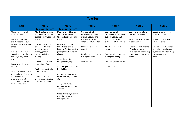| <b>Textiles</b>                                                                                                                                                                                                                                                                                                                                                                                                             |                                                                                                                                                                                                                                                                                                                                                                                      |                                                                                                                                                                                                                                                                                                                                                                                                                                                                                                               |                                                                                                                                                                                                                                          |                                                                                                                                                                                                                                                                     |                                                                                                                                                                                                                          |                                                                                                                                                                                                                          |  |
|-----------------------------------------------------------------------------------------------------------------------------------------------------------------------------------------------------------------------------------------------------------------------------------------------------------------------------------------------------------------------------------------------------------------------------|--------------------------------------------------------------------------------------------------------------------------------------------------------------------------------------------------------------------------------------------------------------------------------------------------------------------------------------------------------------------------------------|---------------------------------------------------------------------------------------------------------------------------------------------------------------------------------------------------------------------------------------------------------------------------------------------------------------------------------------------------------------------------------------------------------------------------------------------------------------------------------------------------------------|------------------------------------------------------------------------------------------------------------------------------------------------------------------------------------------------------------------------------------------|---------------------------------------------------------------------------------------------------------------------------------------------------------------------------------------------------------------------------------------------------------------------|--------------------------------------------------------------------------------------------------------------------------------------------------------------------------------------------------------------------------|--------------------------------------------------------------------------------------------------------------------------------------------------------------------------------------------------------------------------|--|
| <b>EYFS</b>                                                                                                                                                                                                                                                                                                                                                                                                                 | Year 1                                                                                                                                                                                                                                                                                                                                                                               | Year <sub>2</sub>                                                                                                                                                                                                                                                                                                                                                                                                                                                                                             | Year <sub>3</sub>                                                                                                                                                                                                                        | Year 4                                                                                                                                                                                                                                                              | Year <sub>5</sub>                                                                                                                                                                                                        | Year <sub>6</sub>                                                                                                                                                                                                        |  |
|                                                                                                                                                                                                                                                                                                                                                                                                                             | <b>Texture, pattern</b>                                                                                                                                                                                                                                                                                                                                                              | <b>Texture, pattern</b>                                                                                                                                                                                                                                                                                                                                                                                                                                                                                       |                                                                                                                                                                                                                                          |                                                                                                                                                                                                                                                                     |                                                                                                                                                                                                                          |                                                                                                                                                                                                                          |  |
| Manipulate materials for<br>a planned effect.<br>Match and sort fabrics<br>and threads to colour,<br>texture, length, size and<br>shape<br>Handle and manipulate<br>materials such as threads.<br>cottons, wool, raffia,<br>grass<br>Deconstruct cloths and<br>threads<br>Safely use and explore a<br>variety of materials, tools<br>and techniques<br>experimenting with<br>colour, design, texture,<br>form and function. | Match and sort fabrics<br>and threads for colour,<br>texture, length, size and<br>shape<br>Change and modify<br>threads and fabrics,<br>knotting, fraying,<br>fringing, pulling<br>threads, twisting,<br>plaiting<br>Cut and shape fabric<br>using scissors/snips<br>Apply shapes with glue<br>or by stitching<br>Create fabrics by<br>weaving materials i.e.<br>grass through twigs | Match and sort fabrics<br>and threads for colour,<br>texture, length, size and<br>shape<br>Change and modify<br>threads and fabrics,<br>knotting, fraying, fringing,<br>pulling threads, twisting,<br>plaiting<br>Cut and shape fabric<br>using scissors/snips<br>Apply shapes with glue or<br>by stitching<br>Apply decoration using<br>beads, buttons, feathers<br>etc<br>Apply colour with<br>printing, dip dying, fabric<br>crayons<br>Create fabrics by weaving<br>materials i.e. grass<br>through twigs | Use a variety of<br>techniques, e.g. printing,<br>dyeing, weaving and<br>stitching to create<br>different textural effects<br>Match the tool to the<br>material<br>Develop skills in stitching,<br>cutting and joining<br>Colour fabrics | Use a variety of<br>techniques, e.g. printing,<br>dyeing, weaving and<br>stitching to create<br>different textural effects<br>Match the tool to the<br>material<br>Develop skills in stitching,<br>cutting and joining<br>Use applique techniques<br>Colour fabrics | Use different grades of<br>threads and needles<br>Experiment with batik or<br>felt techniques<br>Experiment with a range<br>of media to overlap and<br>layer creating interesting<br>colours and textures and<br>effects | Use different grades of<br>threads and needles<br>Experiment with batik or<br>felt techniques<br>Experiment with a range<br>of media to overlap and<br>layer creating interesting<br>colours and textures and<br>effects |  |
|                                                                                                                                                                                                                                                                                                                                                                                                                             |                                                                                                                                                                                                                                                                                                                                                                                      |                                                                                                                                                                                                                                                                                                                                                                                                                                                                                                               |                                                                                                                                                                                                                                          |                                                                                                                                                                                                                                                                     |                                                                                                                                                                                                                          |                                                                                                                                                                                                                          |  |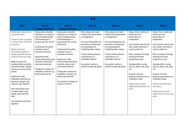| $3-d$                                                                                                                                                                                                                                                                                                                                                                                                                                                                                                                                                                               |                                                                                                                                                                                                                                                                                                                                                                                |                                                                                                                                                                                                                                                                                                                                                                                                                                               |                                                                                                                                                                                                                                                                                                    |                                                                                                                                                                                                                                                                                                    |                                                                                                                                                                                                                                                                                                                                                                                                                                    |                                                                                                                                                                                                                                                                                                                                                                                                                                                                             |  |
|-------------------------------------------------------------------------------------------------------------------------------------------------------------------------------------------------------------------------------------------------------------------------------------------------------------------------------------------------------------------------------------------------------------------------------------------------------------------------------------------------------------------------------------------------------------------------------------|--------------------------------------------------------------------------------------------------------------------------------------------------------------------------------------------------------------------------------------------------------------------------------------------------------------------------------------------------------------------------------|-----------------------------------------------------------------------------------------------------------------------------------------------------------------------------------------------------------------------------------------------------------------------------------------------------------------------------------------------------------------------------------------------------------------------------------------------|----------------------------------------------------------------------------------------------------------------------------------------------------------------------------------------------------------------------------------------------------------------------------------------------------|----------------------------------------------------------------------------------------------------------------------------------------------------------------------------------------------------------------------------------------------------------------------------------------------------|------------------------------------------------------------------------------------------------------------------------------------------------------------------------------------------------------------------------------------------------------------------------------------------------------------------------------------------------------------------------------------------------------------------------------------|-----------------------------------------------------------------------------------------------------------------------------------------------------------------------------------------------------------------------------------------------------------------------------------------------------------------------------------------------------------------------------------------------------------------------------------------------------------------------------|--|
| <b>EYFS</b>                                                                                                                                                                                                                                                                                                                                                                                                                                                                                                                                                                         | Year 1                                                                                                                                                                                                                                                                                                                                                                         | Year <sub>2</sub>                                                                                                                                                                                                                                                                                                                                                                                                                             | Year <sub>3</sub>                                                                                                                                                                                                                                                                                  | Year 4                                                                                                                                                                                                                                                                                             | Year <sub>5</sub>                                                                                                                                                                                                                                                                                                                                                                                                                  | Year <sub>6</sub>                                                                                                                                                                                                                                                                                                                                                                                                                                                           |  |
|                                                                                                                                                                                                                                                                                                                                                                                                                                                                                                                                                                                     | <b>Shape and form</b>                                                                                                                                                                                                                                                                                                                                                          | <b>Shape and form</b>                                                                                                                                                                                                                                                                                                                                                                                                                         |                                                                                                                                                                                                                                                                                                    |                                                                                                                                                                                                                                                                                                    |                                                                                                                                                                                                                                                                                                                                                                                                                                    |                                                                                                                                                                                                                                                                                                                                                                                                                                                                             |  |
| Manipulate materials for<br>a planned effect.<br>Construct with a purpose<br>in mind using a variety of<br>resources.<br>Selects tools and<br>techniques needed to<br>shape, assemble and join<br>materials they are using.<br>Begin to construct,<br>stacking blocks vertically<br>and horizontally, making<br>enclosures and creating<br>spaces.<br>Experiment with<br>malleable materials e.g.<br>plasticine, dough, clay,<br>mod roc, pipe cleaners<br>Roll a ball shape and a<br>sausage shape using<br>hands, pinch and roll<br>coils.<br>Join simple found forms<br>together | Manipulate malleable<br>materials in a variety of<br>ways including rolling<br>and kneading for a<br>purpose eg. tile, animal<br>Understand the safety<br>and basic care of<br>materials and tools<br>Experiment with<br>constructing and joining<br>recycled, natural and<br>manmade materials<br>Change the surface of a<br>malleable material e.g.<br>build a textured tile | Manipulate malleable<br>materials in a variety of<br>ways including rolling<br>and kneading for a<br>purpose eg. tile, animal,<br>thumb pot<br>Understand the safety<br>and basic care of<br>materials and tools<br>Experiment with<br>constructing and joining<br>recycled, natural and<br>manmade materials<br>Change the surface of a<br>malleable material e.g.<br>build a textured tile<br>Use simple 2-D shapes to<br>create a 3-D form | Plan, design and make<br>models from observation<br>or imagination<br>Join clay adequately and<br>construct a simple base<br>for extending and<br>modelling other shapes<br>Create surface patterns<br>and textures in a<br>malleable material<br>Use papier mache to<br>create a simple 3D object | Plan, design and make<br>models from observation<br>or imagination<br>Join clay adequately and<br>construct a simple base<br>for extending and<br>modelling other shapes<br>Create surface patterns<br>and textures in a<br>malleable material<br>Use papier mache to<br>create a simple 3D object | Shape, form, model and<br>construct from<br>observation or<br>imagination<br>Use recycled, natural and<br>man-made materials to<br>create sculptures<br>Plan a sculpture through<br>drawing and other<br>preparatory work<br>Develop skills in using<br>clay inc. slabs, coils, slips,<br>etc<br>Produce intricate<br>patterns and textures in a<br>malleable media<br>Explain how an artist<br>might influence their own<br>work. | Shape, form, model and<br>construct from<br>observation or<br>imagination<br>Use recycled, natural and<br>man-made materials to<br>create sculptures<br>Plan a sculpture through<br>drawing and other<br>preparatory work<br>Develop skills in using<br>clay inc. slabs, coils, slips,<br>etc<br>Produce intricate<br>patterns and textures in a<br>malleable media<br>Follow and refine their<br>own plans.<br>Explain how an artist<br>might influence their own<br>work. |  |
|                                                                                                                                                                                                                                                                                                                                                                                                                                                                                                                                                                                     |                                                                                                                                                                                                                                                                                                                                                                                |                                                                                                                                                                                                                                                                                                                                                                                                                                               |                                                                                                                                                                                                                                                                                                    |                                                                                                                                                                                                                                                                                                    |                                                                                                                                                                                                                                                                                                                                                                                                                                    |                                                                                                                                                                                                                                                                                                                                                                                                                                                                             |  |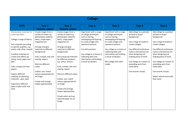| <b>Collage</b>                                                                                                                                                                                                                                                                                                                                                                                                                                     |                                                                                                                                                                                                                                                                                                                                                                       |                                                                                                                                                                                                                                                                                                                                                                                                                                                                                                             |                                                                                                                                                                                                                                                                              |                                                                                                                                                                                                                                                                                           |                                                                                                                                                                                                                                                                                                              |                                                                                                                                                                                                                                                                                                                                                          |  |
|----------------------------------------------------------------------------------------------------------------------------------------------------------------------------------------------------------------------------------------------------------------------------------------------------------------------------------------------------------------------------------------------------------------------------------------------------|-----------------------------------------------------------------------------------------------------------------------------------------------------------------------------------------------------------------------------------------------------------------------------------------------------------------------------------------------------------------------|-------------------------------------------------------------------------------------------------------------------------------------------------------------------------------------------------------------------------------------------------------------------------------------------------------------------------------------------------------------------------------------------------------------------------------------------------------------------------------------------------------------|------------------------------------------------------------------------------------------------------------------------------------------------------------------------------------------------------------------------------------------------------------------------------|-------------------------------------------------------------------------------------------------------------------------------------------------------------------------------------------------------------------------------------------------------------------------------------------|--------------------------------------------------------------------------------------------------------------------------------------------------------------------------------------------------------------------------------------------------------------------------------------------------------------|----------------------------------------------------------------------------------------------------------------------------------------------------------------------------------------------------------------------------------------------------------------------------------------------------------------------------------------------------------|--|
| <b>EYFS</b>                                                                                                                                                                                                                                                                                                                                                                                                                                        | Year 1                                                                                                                                                                                                                                                                                                                                                                | Year <sub>2</sub>                                                                                                                                                                                                                                                                                                                                                                                                                                                                                           | Year <sub>3</sub>                                                                                                                                                                                                                                                            | Year 4                                                                                                                                                                                                                                                                                    | Year <sub>5</sub>                                                                                                                                                                                                                                                                                            | Year 6                                                                                                                                                                                                                                                                                                                                                   |  |
|                                                                                                                                                                                                                                                                                                                                                                                                                                                    | <b>Texture, colour</b>                                                                                                                                                                                                                                                                                                                                                | <b>Texture, colour</b>                                                                                                                                                                                                                                                                                                                                                                                                                                                                                      |                                                                                                                                                                                                                                                                              |                                                                                                                                                                                                                                                                                           |                                                                                                                                                                                                                                                                                                              |                                                                                                                                                                                                                                                                                                                                                          |  |
| Manipulates materials for<br>a planned effect.<br>Collage a range of fabrics.<br>Sort materials according<br>to specific qualities, e.g.<br>warm, cold, shiny, smooth<br>Combine materials to<br>create new effects eg<br>string, tissue paper and<br>glue<br>Fold, crumple and tear<br>papers.<br><b>Explore different</b><br>methods of attaching<br>materials - glue, tape.<br><b>Experience different</b><br>types of glue (stick and<br>wet). | Create images from a<br>variety of media e.g.<br>photocopies material,<br>fabric, crepe paper,<br>magazines etc<br>Arrange and glue<br>materials to different<br>backgrounds<br>Fold, crumple, tear and<br>overlap papers<br>Work on different<br>scales<br>Collect, sort, match<br>colours appropriate for<br>an image<br>Create and arrange<br>shapes appropriately | Create images from a<br>variety of media e.g.<br>photocopies material,<br>fabric, crepe paper,<br>magazines etc<br>Arrange and glue<br>materials to different<br>backgrounds<br>Sort and group materials<br>for different purposes<br>e.g. colour, texture<br>Fold, crumple, tear and<br>overlap papers<br>Work on different scales<br>Collect, sort, match<br>colours appropriate for<br>an image<br>Create and arrange<br>shapes appropriately<br>Create select and use<br>textured paper for an<br>image | Experiment with a range<br>of collage techniques<br>such as tearing,<br>overlapping and layering<br>to create images and<br>represent textures<br>Cut with precision<br>Use collage as a means of<br>collecting ideas and<br>information and building<br>a visual vocabulary | Experiment with a range<br>of collage techniques<br>such as tearing,<br>overlapping and layering<br>to create images and<br>represent textures<br>Use collage as a means of<br>collecting ideas and<br>information and building<br>a visual vocabulary<br>Mix collage with other<br>media | Add collage to a painted,<br>printed or drawn<br>background<br>Use a range of media to<br>create collages<br>Use different techniques,<br>colours and textures etc<br>when designing and<br>making pieces of work<br>Use collage as a means of<br>extending work from<br>initial ideas<br>Use ceramic mosaic | Add collage to a painted,<br>printed or drawn<br>background<br>Use a range of media to<br>create collages<br>Use different techniques,<br>colours and textures etc<br>when designing and<br>making pieces of work<br>Use collage as a means of<br>extending work from<br>initial ideas<br>Use ceramic mosaic<br>Adapt, extend and justify<br>their work. |  |
|                                                                                                                                                                                                                                                                                                                                                                                                                                                    |                                                                                                                                                                                                                                                                                                                                                                       |                                                                                                                                                                                                                                                                                                                                                                                                                                                                                                             |                                                                                                                                                                                                                                                                              |                                                                                                                                                                                                                                                                                           |                                                                                                                                                                                                                                                                                                              |                                                                                                                                                                                                                                                                                                                                                          |  |